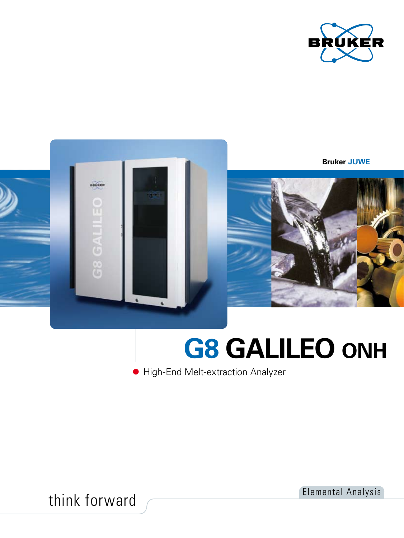



# **G8 GALILEO ONH**

High-End Melt-extraction Analyzer

think forward Elemental Analysis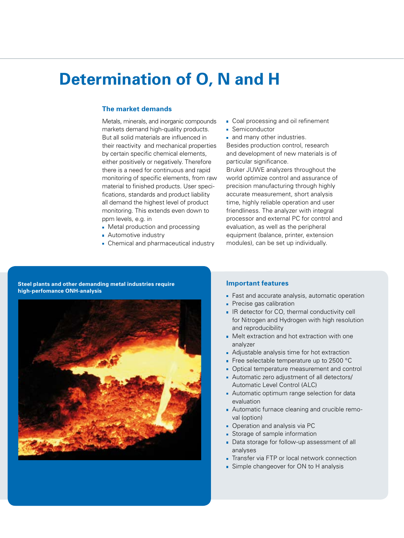## **Determination of O, N and H**

#### **The market demands**

Metals, minerals, and inorganic compounds markets demand high-quality products. But all solid materials are influenced in their reactivity and mechanical properties by certain specific chemical elements, either positively or negatively. Therefore there is a need for continuous and rapid monitoring of specific elements, from raw material to finished products. User specifications, standards and product liability all demand the highest level of product monitoring. This extends even down to ppm levels, e.g. in

- Metal production and processing
- **Automotive industry**
- **Chemical and pharmaceutical industry**
- Coal processing and oil refinement
- **Semiconductor**

**and many other industries.** Besides production control, research and development of new materials is of particular significance.

Bruker JUWE analyzers throughout the world optimize control and assurance of precision manufacturing through highly accurate measurement, short analysis time, highly reliable operation and user friendliness. The analyzer with integral processor and external PC for control and evaluation, as well as the peripheral equipment (balance, printer, extension modules), can be set up individually.

**Steel plants and other demanding metal industries require high-perfomance ONH-analysis** 



#### **Important features**

- **Fast and accurate analysis, automatic operation**
- **Precise gas calibration**
- **IR detector for CO, thermal conductivity cell** for Nitrogen and Hydrogen with high resolution and reproducibility
- Melt extraction and hot extraction with one analyzer
- Adjustable analysis time for hot extraction
- Free selectable temperature up to 2500 °C
- Optical temperature measurement and control
- Automatic zero adjustment of all detectors/ Automatic Level Control (ALC)
- **Automatic optimum range selection for data** evaluation
- Automatic furnace cleaning and crucible removal (option)
- **Operation and analysis via PC**
- Storage of sample information
- Data storage for follow-up assessment of all analyses
- **Transfer via FTP or local network connection**
- Simple changeover for ON to H analysis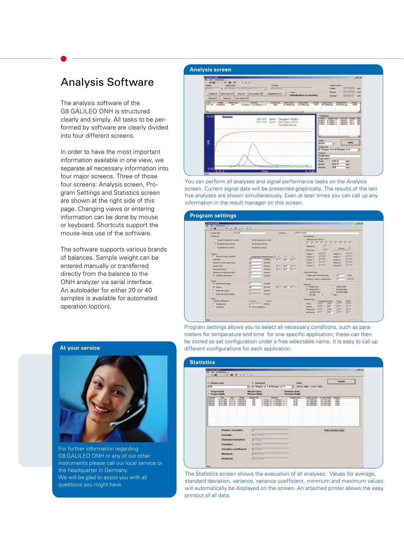### Analysis Software

The analysis software of the G8 GALILEO ONH is structured clearly and simply. All tasks to be performed by software are clearly divided into four different screens.

In order to have the most important information available in one view, we separate all necessary information into four major screens. Three of those four screens: Analysis screen, Program Settings and Statistics screen are shown at the right side of this page. Changing views or entering information can be done by mouse or keyboard. Shortcuts support the mouse-less use of the software.

The software supports various brands of balances. Sample weight can be entered manually or transferred directly from the balance to the ONH analyzer via serial interface. An autoloader for either 20 or 40 samples is available for automated operation (option).

| <b>Checked Area</b><br>tion Callgardin 1<br>$-71111111$<br>18.52<br><b><i><u>Installation</u></i></b><br><b>Transport</b><br>$14-24$<br><b>STATE</b><br><b>CALL DEPARTMENT CONTROL</b><br><b>Company</b><br><b>Book for Distribution</b><br><b>Rosenhammed 8</b><br><b>Sunday FB</b><br><b>Weddington Ad Trip</b><br>Indicatorables is increaling<br><b>Deports Darwegum PE</b><br><b>Chemical C</b> | <b>LATER</b><br><b>Tangel Comment</b><br><b>THE SHORN CARD</b><br><b>Collective Law</b><br><b>Silvered Way</b><br><b>The All Card</b>                                                                |
|------------------------------------------------------------------------------------------------------------------------------------------------------------------------------------------------------------------------------------------------------------------------------------------------------------------------------------------------------------------------------------------------------|------------------------------------------------------------------------------------------------------------------------------------------------------------------------------------------------------|
| Made - Linker and - Lincoln<br>Target commercial Changes (Fight)<br><b>Lames</b><br>the<br><b>Andrew Ave.</b><br>421116 010365 a<br>In Wigges or A M Wilson or 11.<br>XBD<br><b>JAW</b><br><b>SOLARISE ages</b><br><b><i>LOCATION parts</i></b><br>AB .<br>10.00<br>Sample<br>101.01<br>ppm. Oxygen (high)                                                                                           | <b>Deeper Target control</b><br><b>Library Aves</b><br><b>Imaged</b><br><b>BET GOODS game</b><br><b>MIT JAHRS same</b><br><b>HALL</b><br><b>Waginkuku</b><br><b>Angeler creatio</b><br><b>WINDOW</b> |
| 557.09 ppm Nitrogen (low)                                                                                                                                                                                                                                                                                                                                                                            | ill is in<br>駐<br>₩<br>注空<br>w.                                                                                                                                                                      |
| ţ                                                                                                                                                                                                                                                                                                                                                                                                    | tereger<br>Apply<br>la ana<br><b>Sanda curbs</b><br>0 181apm U.S. N 157apm U.T.<br>٠<br>European<br><b>Hallbrahan</b><br>Traced content<br>391.8<br>Baggai<br>884                                    |

You can perform all analyses and signal performance tasks on the Analysis screen. Current signal data will be presented graphically. The results of the last five analyses are shown simultaneously. Even at later times you can call up any information in the result manager on this screen.

#### **Program settings**

| <b>Kanad</b><br><b>Unital Admin</b>  | <b>Express A</b>                                           | <b>Fight Street</b>                                                           |
|--------------------------------------|------------------------------------------------------------|-------------------------------------------------------------------------------|
| <b>Bridge of the 1</b>               |                                                            | <b>Sunday Ave</b>                                                             |
| [7] Transle Entraporte an instant    | C. San Parameters consti-                                  | Calledon per vektore<br>an an an an an                                        |
| 18 Sunski Europe metal               | 17 Sun Cornel cartell                                      | ÷                                                                             |
| 17 Sweet Flow care 4                 | I' had been used.                                          | <b>Paradicione</b><br>Pressure                                                |
|                                      |                                                            | <b>FIT</b><br><b>San Paulus</b><br>-                                          |
|                                      |                                                            | <b>COLOR</b><br><b>COLOR</b><br>Makera 11<br><b>Video &amp;</b>               |
| Forty will love reprinted            | <b>Contample asservations at</b><br>$\infty$<br>           | <b>COLOR</b><br><b>Statute 2</b><br>Visitaire 21                              |
|                                      | green part prove<br>benedic                                | <b>COMPANY</b><br>,,,,,<br><b>Maked III</b><br>Volume 31                      |
| <b>Business of charters and con-</b> | <b>Sanded</b>                                              | <b>PACT</b><br><b>RESIDENT</b><br><b>School R</b><br><b>Transport</b> &       |
| <b>Scales Ford</b>                   | m<br><b>Increas</b><br>$\overline{a}$<br><b>COLLECTIVE</b> | <b>Corporation</b><br><b>STATISTIC</b><br>masse in<br><b>Industrial Title</b> |
| <b>Industrial Control</b>            | <b>Seconds</b><br><b>STILLER</b>                           |                                                                               |
| <b>Russian instrumental</b>          | <b>Security</b>                                            | <b><i><u>Ispandung West</u></i></b>                                           |
| W. Conthiesium down.                 | <b><i><u>Sprandt</u></i></b>                               | Europeender Antalysis agent<br><b>INC</b><br><b>ALC A</b>                     |
|                                      |                                                            | <b>Security</b><br><b>Reaches of USA Fo componenties</b>                      |
| <b>Super</b><br>IP Page today maps:  | <b>Tenness</b>                                             |                                                                               |
|                                      |                                                            | The property<br><b>W Docent And</b><br><b>Tilbeat Park</b>                    |
| <b>William</b>                       | great pay present<br><b>Security</b>                       | Of Allman Box<br><b>Recognizing Edit</b>                                      |
| IT Page drawings                     | <b>Service</b>                                             | IT Hubsaledous<br>T. Hudmani mand                                             |
| IT Page dre lead bakes               | <b>SAGARE</b>                                              | Carlos Cit-                                                                   |
| <b>Face</b>                          |                                                            | <b><i><u>Ragdense lost</u></i></b>                                            |
| <b>Salesman of Street and</b>        | of assis-<br><b>CHILL</b>                                  | Temperatures<br># 28<br><b>From</b>                                           |
| IT tisnes she                        | <b>Silveries</b>                                           | poses<br>m<br><b>PORT</b><br><b>EDIC</b><br><b>Phone</b>                      |
| <b>T Gamora</b>                      | <b>M. Since a statement</b>                                | m<br>m<br>poor:<br><b>DV</b><br><b>SHOULD</b>                                 |

Program settings allows you to select all necessary conditions, such as parameters for temperature and time for one specific application; these can then be stored as set configuration under a free selectable name. It is easy to call up different configurations for each application.

| <b><i>STANDARD</i></b><br><b>The lines Carlisonian 1</b><br>WELL FOR A TO A PLACE                                                                                                                                                                                                                           |                                                                                                                                             |                                                                                                                                                                | $-325.80$                                                                                                                                                                     |
|-------------------------------------------------------------------------------------------------------------------------------------------------------------------------------------------------------------------------------------------------------------------------------------------------------------|---------------------------------------------------------------------------------------------------------------------------------------------|----------------------------------------------------------------------------------------------------------------------------------------------------------------|-------------------------------------------------------------------------------------------------------------------------------------------------------------------------------|
| IF Hangke sader                                                                                                                                                                                                                                                                                             | <b>U Comment</b>                                                                                                                            | <b>Blues</b>                                                                                                                                                   | <b><i><u>Slipwing</u></i></b>                                                                                                                                                 |
| $10 + 9$<br><b>Congress Band</b><br>IT Christmas Belgins                                                                                                                                                                                                                                                    | 33 191april 42 K.W Milgam 12 11<br>÷<br><b><i><u><u>Increases</u></u></i></b> Block                                                         | 47 Death away Treat June<br><b>Hydrogen Bird</b><br><b>T. Hydrogen Bright</b>                                                                                  |                                                                                                                                                                               |
| <b>IRGS</b><br><b>ELECT</b><br><b>Stage</b><br><b>September</b><br>18.74.000<br>11-15-11<br>والمكاما<br>4 MOTOR-A<br>6 facilities<br><b>Sales Ave</b><br>16.14.2000<br><b>BRAND</b><br>(6.16.2006)<br><b>Interdeed</b><br>63-14-23<br>6.062200-4<br>16.16.2008<br><b>Lake Star</b><br>\$9.21.00<br>A MARINE | <b>Law and</b><br><b>SAMPLES</b><br>210400 12.5 Million 12.15<br>m<br>1105 por al- 4, 6 207mm al- 10<br>I consider all it is deviated as 14 | <b>All about \$500</b><br><b>TubupA contract:</b><br>11<br><b>ATE DIRECTOR</b><br><b>LES JANEURES</b><br>4H<br>105.090 users<br>\$8.00<br><b>104 0200 upon</b> | <b>Impo</b><br><b>SHOW: PUPS</b><br>pair, Titolin pain.<br>12844<br><b>Limit</b><br><b>John Autom Johns</b><br>iles<br>101 mill cars<br>Lister<br><b><i>LOS MAILE LAW</i></b> |
| <b>Mundair of points</b>                                                                                                                                                                                                                                                                                    | E                                                                                                                                           |                                                                                                                                                                | Print sylection and/                                                                                                                                                          |
| Average:<br><b>Situalized deviation</b><br><b>Variation</b>                                                                                                                                                                                                                                                 | <b>BEL GAL</b><br><b>SILEARIE</b><br><b>BERTHE</b>                                                                                          |                                                                                                                                                                |                                                                                                                                                                               |
| Variation conflictori<br><b>Mirumeum</b>                                                                                                                                                                                                                                                                    | <b>BY THEFT</b><br><b>Bear Short</b>                                                                                                        |                                                                                                                                                                |                                                                                                                                                                               |
| <b>Highlingh</b>                                                                                                                                                                                                                                                                                            | <b>Hit active</b>                                                                                                                           |                                                                                                                                                                |                                                                                                                                                                               |

The Statistics screen shows the evaluation of all analyses: Values for average, standard deviation, variance, variance coefficient, minimum and maximum values will automatically be displayed on the screen. An attached printer allows the easy printout of all data.

#### **At your service**



For further information regarding G8 GALILEO ONH or any of our other instruments please call our local service or the headquarter in Germany. We will be glad to assist you with all questions you might have.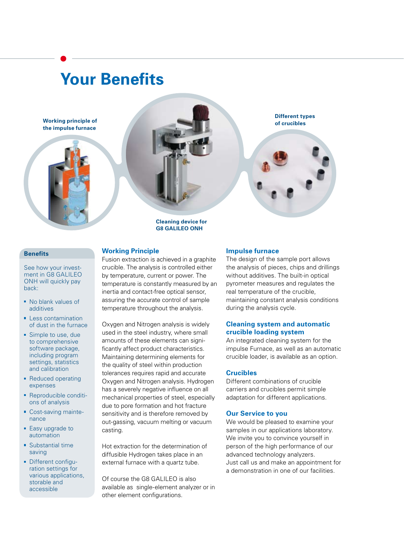# **Your Benefits**

**Working principle of the impulse furnace**





**Cleaning device for G8 GALILEO ONH**

#### **Benefits**

See how your investment in G8 GALILEO ONH will quickly pay back:

- No blank values of additives
- **Less contamination** of dust in the furnace
- Simple to use, due to comprehensive software package, including program settings, statistics and calibration
- Reduced operating expenses
- Reproducible conditions of analysis
- Cost-saving maintenance
- Easy upgrade to automation
- **Substantial time** saving
- Different configuration settings for various applications, storable and accessible

#### **Working Principle**

Fusion extraction is achieved in a graphite crucible. The analysis is controlled either by temperature, current or power. The temperature is constantly measured by an inertia and contact-free optical sensor, assuring the accurate control of sample temperature throughout the analysis.

Oxygen and Nitrogen analysis is widely used in the steel industry, where small amounts of these elements can significantly affect product characteristics. Maintaining determining elements for the quality of steel within production tolerances requires rapid and accurate Oxygen and Nitrogen analysis. Hydrogen has a severely negative influence on all mechanical properties of steel, especially due to pore formation and hot fracture sensitivity and is therefore removed by out-gassing, vacuum melting or vacuum casting.

Hot extraction for the determination of diffusible Hydrogen takes place in an external furnace with a quartz tube.

Of course the G8 GALILEO is also available as single-element analyzer or in other element configurations.

#### **Impulse furnace**

The design of the sample port allows the analysis of pieces, chips and drillings without additives. The built-in optical pyrometer measures and regulates the real temperature of the crucible, maintaining constant analysis conditions during the analysis cycle.

**Different types of crucibles**

#### **Cleaning system and automatic crucible loading system**

An integrated cleaning system for the impulse Furnace, as well as an automatic crucible loader, is available as an option.

#### **Crucibles**

Different combinations of crucible carriers and crucibles permit simple adaptation for different applications.

#### **Our Service to you**

We would be pleased to examine your samples in our applications laboratory. We invite you to convince yourself in person of the high performance of our advanced technology analyzers. Just call us and make an appointment for a demonstration in one of our facilities.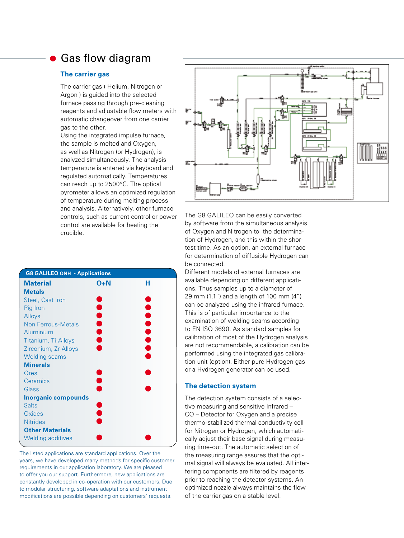### Gas flow diagram

#### **The carrier gas**

The carrier gas ( Helium, Nitrogen or Argon ) is guided into the selected furnace passing through pre-cleaning reagents and adjustable flow meters with automatic changeover from one carrier gas to the other. Using the integrated impulse furnace, the sample is melted and Oxygen,

as well as Nitrogen (or Hydrogen), is analyzed simultaneously. The analysis temperature is entered via keyboard and regulated automatically. Temperatures can reach up to 2500°C. The optical pyrometer allows an optimized regulation of temperature during melting process and analysis. Alternatively, other furnace controls, such as current control or power control are available for heating the crucible.

| <b>G8 GALILEO ONH - Applications</b> |               |         |  |  |  |
|--------------------------------------|---------------|---------|--|--|--|
| <b>Material</b>                      | O+N           | н       |  |  |  |
| <b>Metals</b>                        |               |         |  |  |  |
| Steel, Cast Iron                     |               |         |  |  |  |
| Pig Iron                             |               |         |  |  |  |
| Alloys                               |               |         |  |  |  |
| <b>Non Ferrous-Metals</b>            | <b></b>       | <b></b> |  |  |  |
| Aluminium                            |               |         |  |  |  |
| Titanium, Ti-Alloys                  |               |         |  |  |  |
| Zirconium, Zr-Alloys                 |               |         |  |  |  |
| <b>Welding seams</b>                 |               |         |  |  |  |
| <b>Minerals</b>                      |               |         |  |  |  |
| Ores                                 |               |         |  |  |  |
| Ceramics                             | $\bullet$     |         |  |  |  |
| Glass                                |               |         |  |  |  |
| <b>Inorganic compounds</b>           |               |         |  |  |  |
| <b>Salts</b>                         |               |         |  |  |  |
| Oxides                               | <b>.</b><br>• |         |  |  |  |
| <b>Nitrides</b>                      |               |         |  |  |  |
| <b>Other Materials</b>               |               |         |  |  |  |
| <b>Welding additives</b>             |               |         |  |  |  |

The listed applications are standard applications. Over the years, we have developed many methods for specific customer requirements in our application laboratory. We are pleased to offer you our support. Furthermore, new applications are constantly developed in co-operation with our customers. Due to modular structuring, software adaptations and instrument modifications are possible depending on customers' requests.



The G8 GALILEO can be easily converted by software from the simultaneous analysis of Oxygen and Nitrogen to the determination of Hydrogen, and this within the shortest time. As an option, an external furnace for determination of diffusible Hydrogen can be connected.

Different models of external furnaces are available depending on different applications. Thus samples up to a diameter of 29 mm (1.1") and a length of 100 mm (4") can be analyzed using the infrared furnace. This is of particular importance to the examination of welding seams according to EN ISO 3690. As standard samples for calibration of most of the Hydrogen analysis are not recommendable, a calibration can be performed using the integrated gas calibration unit (option). Either pure Hydrogen gas or a Hydrogen generator can be used.

#### **The detection system**

The detection system consists of a selective measuring and sensitive Infrared – CO – Detector for Oxygen and a precise thermo-stabilized thermal conductivity cell for Nitrogen or Hydrogen, which automatically adjust their base signal during measuring time-out. The automatic selection of the measuring range assures that the optimal signal will always be evaluated. All interfering components are filtered by reagents prior to reaching the detector systems. An optimized nozzle always maintains the flow of the carrier gas on a stable level.